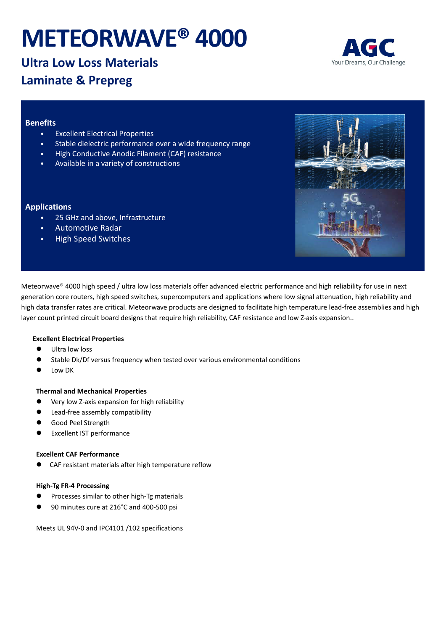# **METEORWAVE® 4000**



# **Ultra Low Loss Materials Laminate & Prepreg**

# **Benefits**

- **Excellent Electrical Properties**
- Stable dielectric performance over a wide frequency range
- High Conductive Anodic Filament (CAF) resistance
- Available in a variety of constructions

# **Applications**

- 25 GHz and above, Infrastructure
- Automotive Radar
- High Speed Switches



Meteorwave® 4000 high speed / ultra low loss materials offer advanced electric performance and high reliability for use in next generation core routers, high speed switches, supercomputers and applications where low signal attenuation, high reliability and high data transfer rates are critical. Meteorwave products are designed to facilitate high temperature lead-free assemblies and high layer count printed circuit board designs that require high reliability, CAF resistance and low Z-axis expansion..

### **Excellent Electrical Properties**

- Ultra low loss
- Stable Dk/Df versus frequency when tested over various environmental conditions
- Low DK

#### **Thermal and Mechanical Properties**

- Very low Z-axis expansion for high reliability
- Lead-free assembly compatibility
- Good Peel Strength
- Excellent IST performance

#### **Excellent CAF Performance**

CAF resistant materials after high temperature reflow

#### **High-Tg FR-4 Processing**

- Processes similar to other high-Tg materials
- 90 minutes cure at 216°C and 400-500 psi

Meets UL 94V-0 and IPC4101 /102 specifications